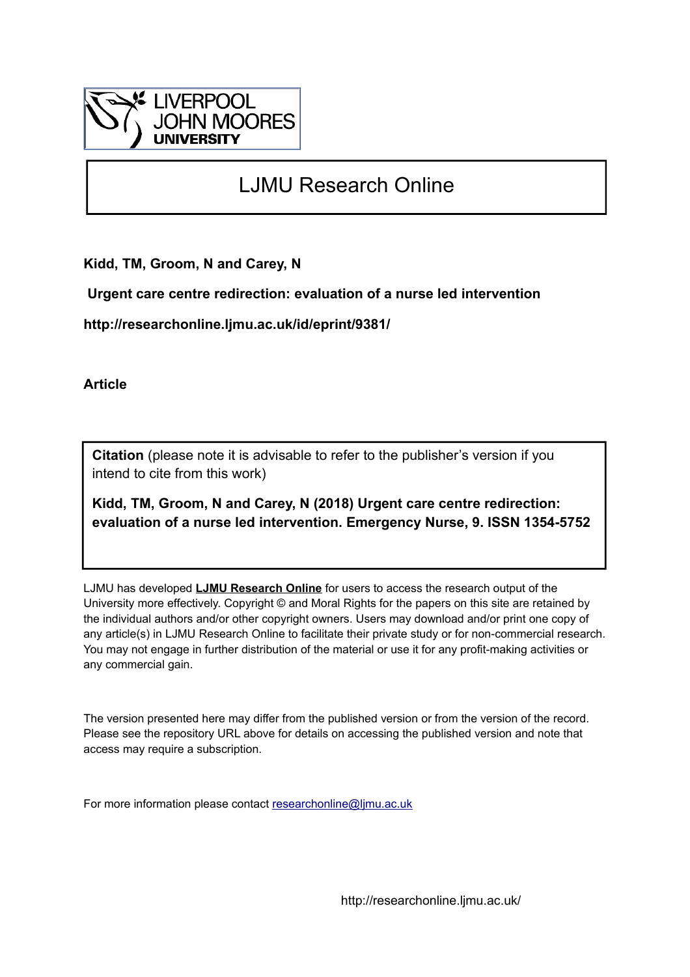

# LJMU Research Online

**Kidd, TM, Groom, N and Carey, N**

 **Urgent care centre redirection: evaluation of a nurse led intervention**

**http://researchonline.ljmu.ac.uk/id/eprint/9381/**

**Article**

**Citation** (please note it is advisable to refer to the publisher's version if you intend to cite from this work)

**Kidd, TM, Groom, N and Carey, N (2018) Urgent care centre redirection: evaluation of a nurse led intervention. Emergency Nurse, 9. ISSN 1354-5752** 

LJMU has developed **[LJMU Research Online](http://researchonline.ljmu.ac.uk/)** for users to access the research output of the University more effectively. Copyright © and Moral Rights for the papers on this site are retained by the individual authors and/or other copyright owners. Users may download and/or print one copy of any article(s) in LJMU Research Online to facilitate their private study or for non-commercial research. You may not engage in further distribution of the material or use it for any profit-making activities or any commercial gain.

The version presented here may differ from the published version or from the version of the record. Please see the repository URL above for details on accessing the published version and note that access may require a subscription.

For more information please contact [researchonline@ljmu.ac.uk](mailto:researchonline@ljmu.ac.uk)

http://researchonline.ljmu.ac.uk/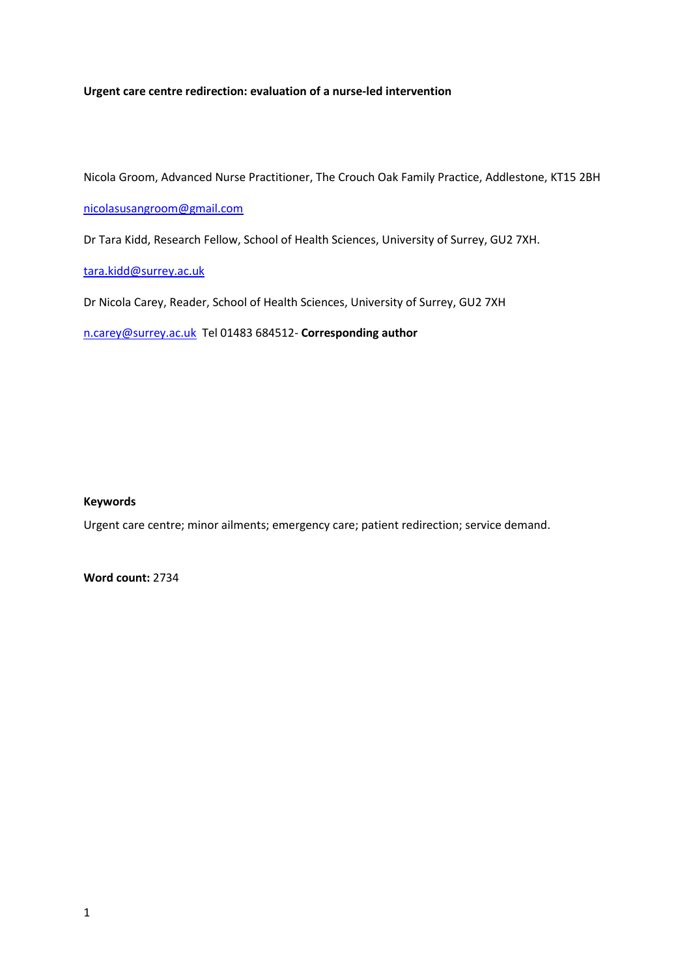# **Urgent care centre redirection: evaluation of a nurse-led intervention**

Nicola Groom, Advanced Nurse Practitioner, The Crouch Oak Family Practice, Addlestone, KT15 2BH

# [nicolasusangroom@gmail.com](mailto:nicolasusangroom@gmail.com)

Dr Tara Kidd, Research Fellow, School of Health Sciences, University of Surrey, GU2 7XH.

[tara.kidd@surrey.ac.uk](mailto:tara.kidd@surrey.ac.uk) 

Dr Nicola Carey, Reader, School of Health Sciences, University of Surrey, GU2 7XH

[n.carey@surrey.ac.uk](mailto:n.carey@surrey.ac.uk) Tel 01483 684512- **Corresponding author**

# **Keywords**

Urgent care centre; minor ailments; emergency care; patient redirection; service demand.

**Word count:** 2734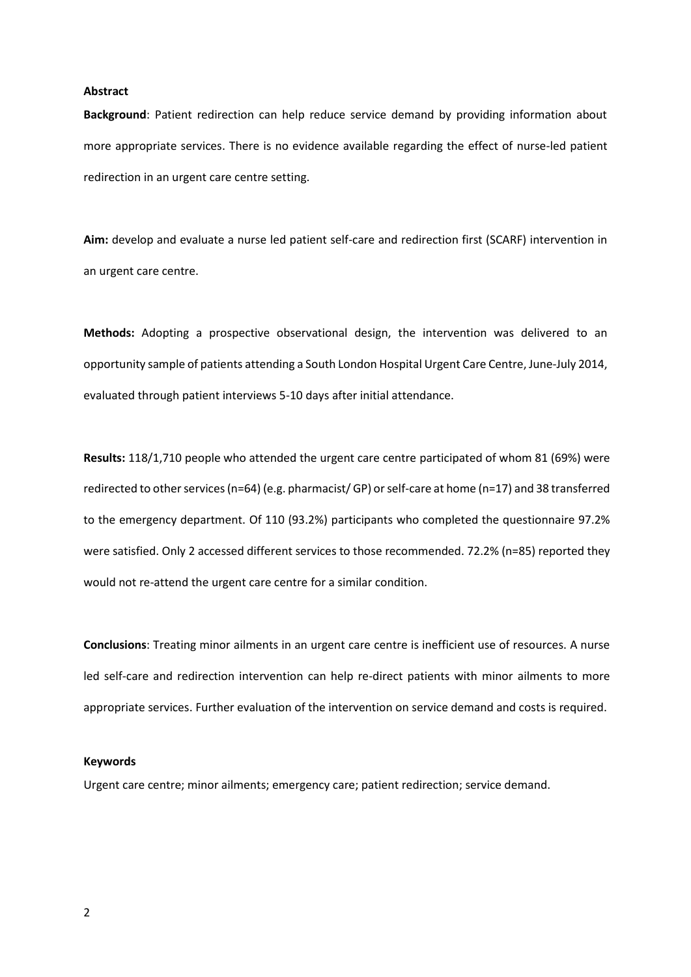#### **Abstract**

**Background**: Patient redirection can help reduce service demand by providing information about more appropriate services. There is no evidence available regarding the effect of nurse-led patient redirection in an urgent care centre setting.

**Aim:** develop and evaluate a nurse led patient self-care and redirection first (SCARF) intervention in an urgent care centre.

**Methods:** Adopting a prospective observational design, the intervention was delivered to an opportunity sample of patients attending a South London Hospital Urgent Care Centre, June-July 2014, evaluated through patient interviews 5-10 days after initial attendance.

**Results:** 118/1,710 people who attended the urgent care centre participated of whom 81 (69%) were redirected to other services (n=64) (e.g. pharmacist/ GP) or self-care at home (n=17) and 38 transferred to the emergency department. Of 110 (93.2%) participants who completed the questionnaire 97.2% were satisfied. Only 2 accessed different services to those recommended. 72.2% (n=85) reported they would not re-attend the urgent care centre for a similar condition.

**Conclusions**: Treating minor ailments in an urgent care centre is inefficient use of resources. A nurse led self-care and redirection intervention can help re-direct patients with minor ailments to more appropriate services. Further evaluation of the intervention on service demand and costs is required.

#### **Keywords**

Urgent care centre; minor ailments; emergency care; patient redirection; service demand.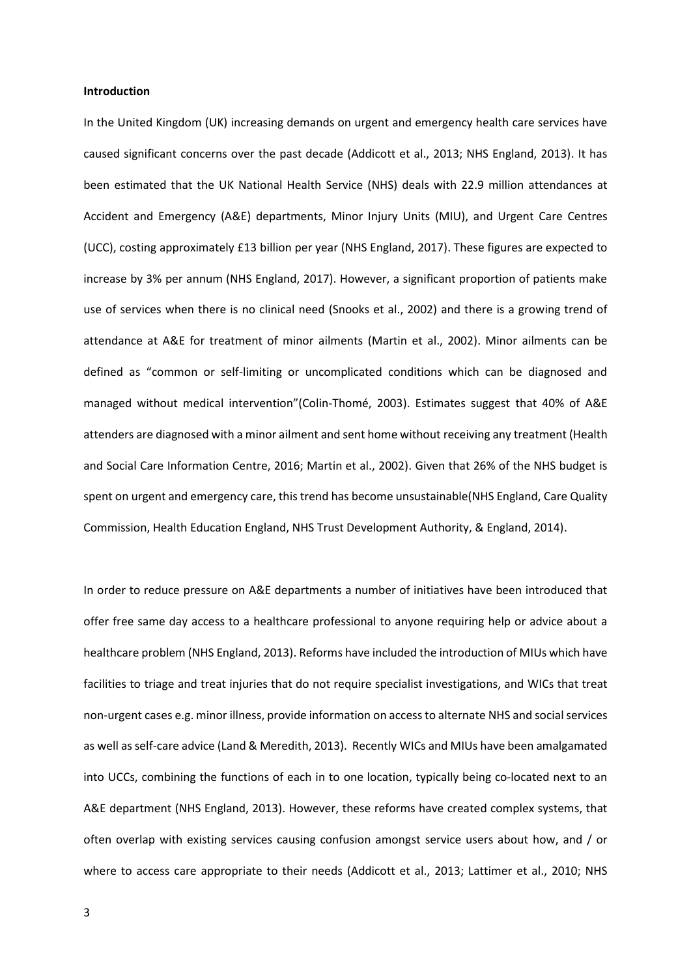#### **Introduction**

In the United Kingdom (UK) increasing demands on urgent and emergency health care services have caused significant concerns over the past decade (Addicott et al., 2013; NHS England, 2013). It has been estimated that the UK National Health Service (NHS) deals with 22.9 million attendances at Accident and Emergency (A&E) departments, Minor Injury Units (MIU), and Urgent Care Centres (UCC), costing approximately £13 billion per year (NHS England, 2017). These figures are expected to increase by 3% per annum (NHS England, 2017). However, a significant proportion of patients make use of services when there is no clinical need (Snooks et al., 2002) and there is a growing trend of attendance at A&E for treatment of minor ailments (Martin et al., 2002). Minor ailments can be defined as "common or self-limiting or uncomplicated conditions which can be diagnosed and managed without medical intervention"(Colin-Thomé, 2003). Estimates suggest that 40% of A&E attenders are diagnosed with a minor ailment and sent home without receiving any treatment (Health and Social Care Information Centre, 2016; Martin et al., 2002). Given that 26% of the NHS budget is spent on urgent and emergency care, this trend has become unsustainable(NHS England, Care Quality Commission, Health Education England, NHS Trust Development Authority, & England, 2014).

In order to reduce pressure on A&E departments a number of initiatives have been introduced that offer free same day access to a healthcare professional to anyone requiring help or advice about a healthcare problem (NHS England, 2013). Reforms have included the introduction of MIUs which have facilities to triage and treat injuries that do not require specialist investigations, and WICs that treat non-urgent cases e.g. minor illness, provide information on access to alternate NHS and social services as well as self-care advice (Land & Meredith, 2013). Recently WICs and MIUs have been amalgamated into UCCs, combining the functions of each in to one location, typically being co-located next to an A&E department (NHS England, 2013). However, these reforms have created complex systems, that often overlap with existing services causing confusion amongst service users about how, and / or where to access care appropriate to their needs (Addicott et al., 2013; Lattimer et al., 2010; NHS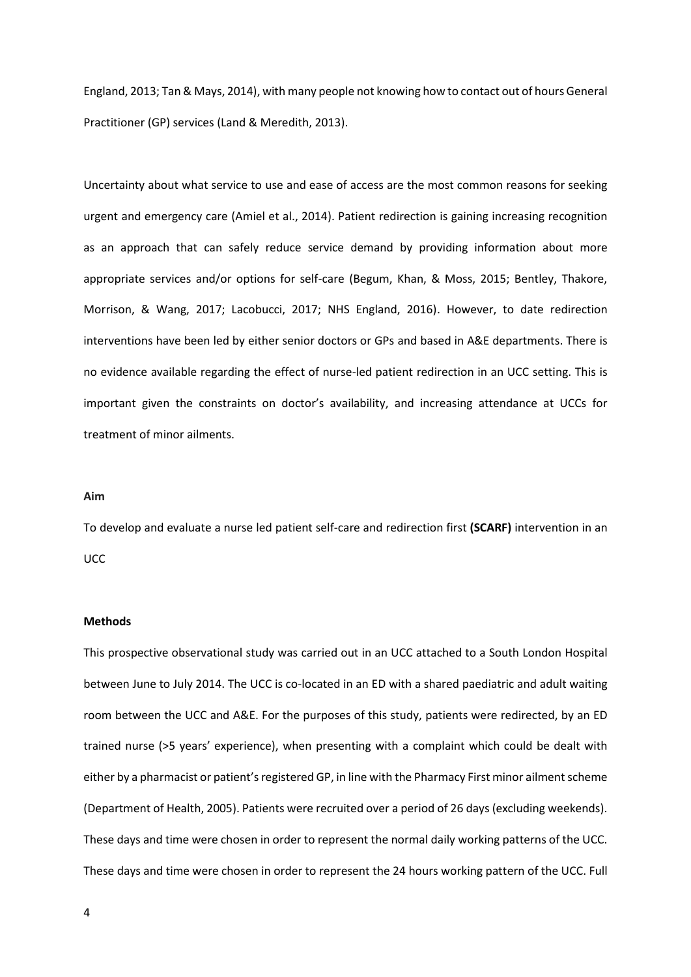England, 2013; Tan & Mays, 2014), with many people not knowing how to contact out of hours General Practitioner (GP) services (Land & Meredith, 2013).

Uncertainty about what service to use and ease of access are the most common reasons for seeking urgent and emergency care (Amiel et al., 2014). Patient redirection is gaining increasing recognition as an approach that can safely reduce service demand by providing information about more appropriate services and/or options for self-care (Begum, Khan, & Moss, 2015; Bentley, Thakore, Morrison, & Wang, 2017; Lacobucci, 2017; NHS England, 2016). However, to date redirection interventions have been led by either senior doctors or GPs and based in A&E departments. There is no evidence available regarding the effect of nurse-led patient redirection in an UCC setting. This is important given the constraints on doctor's availability, and increasing attendance at UCCs for treatment of minor ailments.

#### **Aim**

To develop and evaluate a nurse led patient self-care and redirection first **(SCARF)** intervention in an UCC

#### **Methods**

This prospective observational study was carried out in an UCC attached to a South London Hospital between June to July 2014. The UCC is co-located in an ED with a shared paediatric and adult waiting room between the UCC and A&E. For the purposes of this study, patients were redirected, by an ED trained nurse (>5 years' experience), when presenting with a complaint which could be dealt with either by a pharmacist or patient's registered GP, in line with the Pharmacy First minor ailment scheme (Department of Health, 2005). Patients were recruited over a period of 26 days (excluding weekends). These days and time were chosen in order to represent the normal daily working patterns of the UCC. These days and time were chosen in order to represent the 24 hours working pattern of the UCC. Full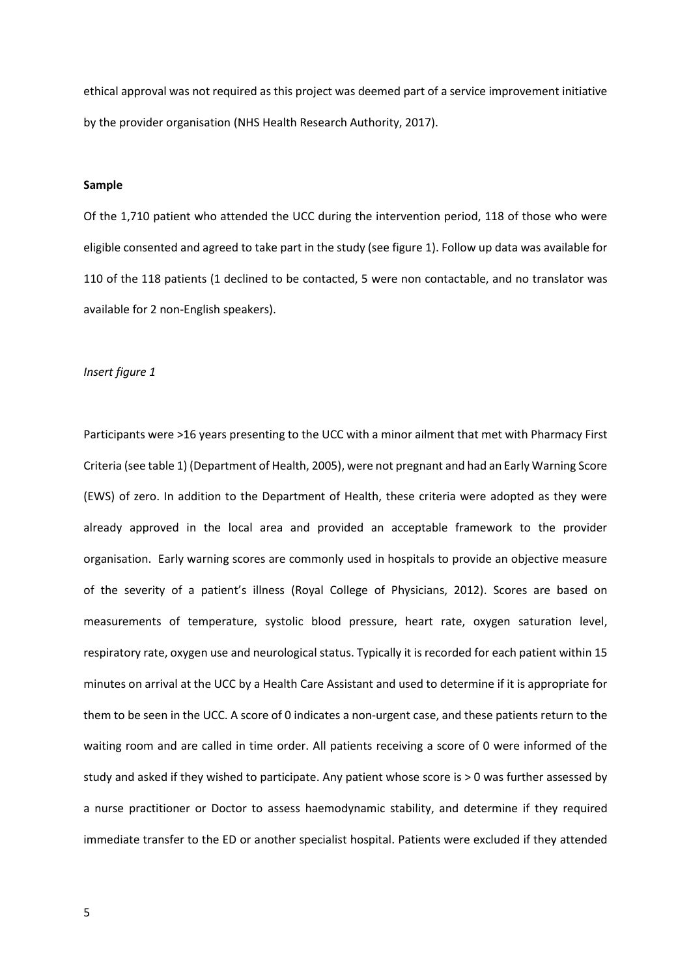ethical approval was not required as this project was deemed part of a service improvement initiative by the provider organisation (NHS Health Research Authority, 2017).

## **Sample**

Of the 1,710 patient who attended the UCC during the intervention period, 118 of those who were eligible consented and agreed to take part in the study (see figure 1). Follow up data was available for 110 of the 118 patients (1 declined to be contacted, 5 were non contactable, and no translator was available for 2 non-English speakers).

## *Insert figure 1*

Participants were >16 years presenting to the UCC with a minor ailment that met with Pharmacy First Criteria (see table 1) (Department of Health, 2005), were not pregnant and had an Early Warning Score (EWS) of zero. In addition to the Department of Health, these criteria were adopted as they were already approved in the local area and provided an acceptable framework to the provider organisation. Early warning scores are commonly used in hospitals to provide an objective measure of the severity of a patient's illness (Royal College of Physicians, 2012). Scores are based on measurements of temperature, systolic blood pressure, heart rate, oxygen saturation level, respiratory rate, oxygen use and neurological status. Typically it is recorded for each patient within 15 minutes on arrival at the UCC by a Health Care Assistant and used to determine if it is appropriate for them to be seen in the UCC. A score of 0 indicates a non-urgent case, and these patients return to the waiting room and are called in time order. All patients receiving a score of 0 were informed of the study and asked if they wished to participate. Any patient whose score is > 0 was further assessed by a nurse practitioner or Doctor to assess haemodynamic stability, and determine if they required immediate transfer to the ED or another specialist hospital. Patients were excluded if they attended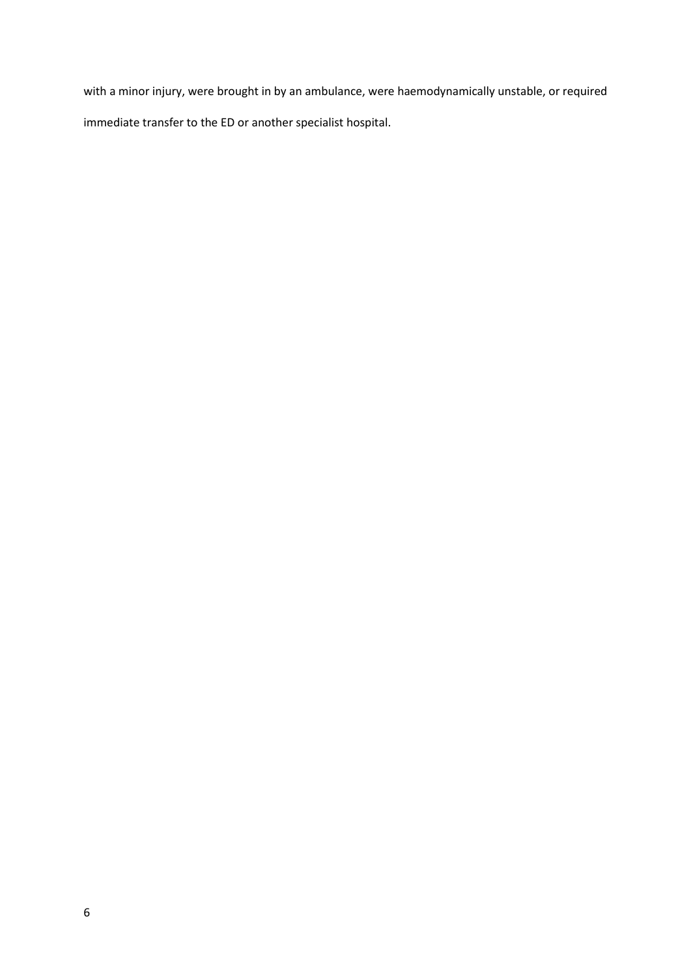with a minor injury, were brought in by an ambulance, were haemodynamically unstable, or required immediate transfer to the ED or another specialist hospital.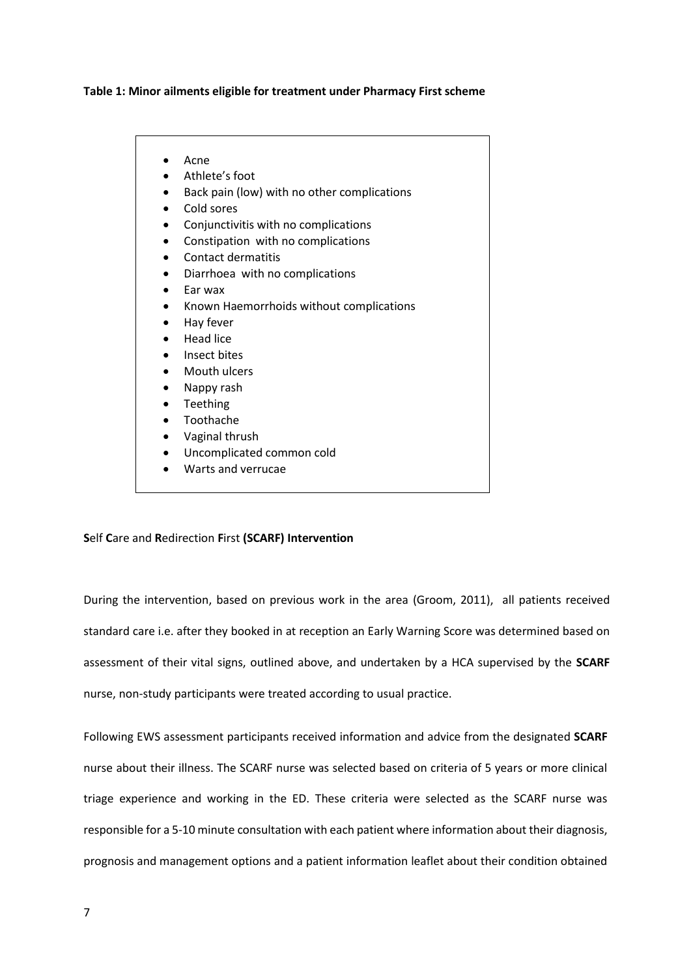# **Table 1: Minor ailments eligible for treatment under Pharmacy First scheme**

- Acne
- Athlete's foot
- Back pain (low) with no other complications
- Cold sores
- Conjunctivitis with no complications
- Constipation with no complications
- Contact dermatitis
- Diarrhoea with no complications
- Ear wax
- Known Haemorrhoids without complications
- Hay fever
- Head lice
- Insect bites
- Mouth ulcers
- Nappy rash
- Teething
- Toothache
- Vaginal thrush
- Uncomplicated common cold
- Warts and verrucae

## **S**elf **C**are and **R**edirection **F**irst **(SCARF) Intervention**

During the intervention, based on previous work in the area (Groom, 2011), all patients received standard care i.e. after they booked in at reception an Early Warning Score was determined based on assessment of their vital signs, outlined above, and undertaken by a HCA supervised by the **SCARF**  nurse, non-study participants were treated according to usual practice.

Following EWS assessment participants received information and advice from the designated **SCARF** nurse about their illness. The SCARF nurse was selected based on criteria of 5 years or more clinical triage experience and working in the ED. These criteria were selected as the SCARF nurse was responsible for a 5-10 minute consultation with each patient where information about their diagnosis, prognosis and management options and a patient information leaflet about their condition obtained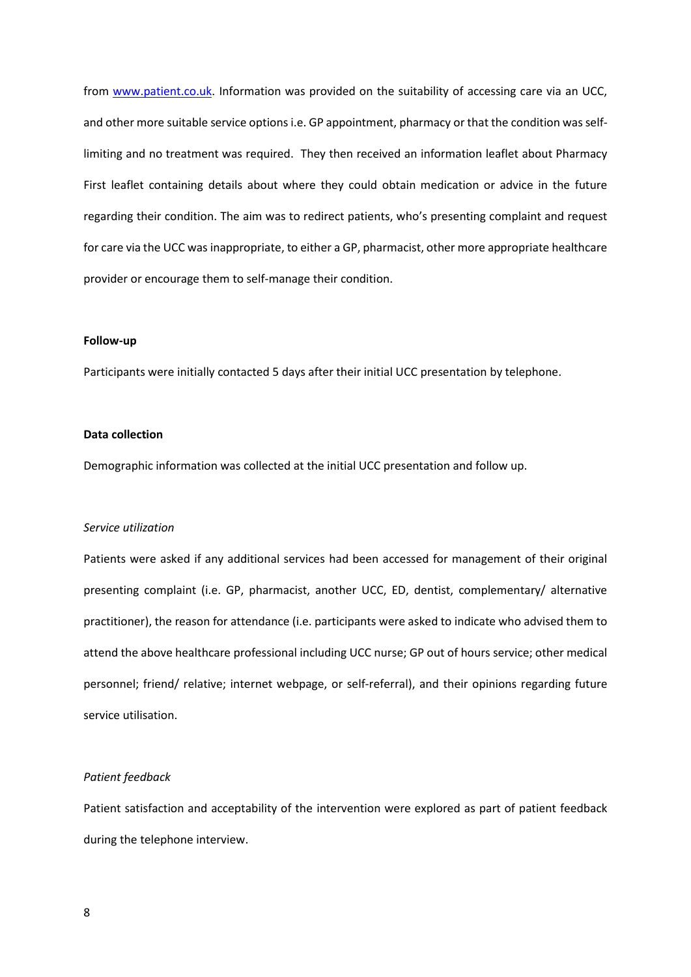from [www.patient.co.uk.](http://www.patient.co.uk/) Information was provided on the suitability of accessing care via an UCC, and other more suitable service options i.e. GP appointment, pharmacy or that the condition was selflimiting and no treatment was required. They then received an information leaflet about Pharmacy First leaflet containing details about where they could obtain medication or advice in the future regarding their condition. The aim was to redirect patients, who's presenting complaint and request for care via the UCC was inappropriate, to either a GP, pharmacist, other more appropriate healthcare provider or encourage them to self-manage their condition.

#### **Follow-up**

Participants were initially contacted 5 days after their initial UCC presentation by telephone.

#### **Data collection**

Demographic information was collected at the initial UCC presentation and follow up.

## *Service utilization*

Patients were asked if any additional services had been accessed for management of their original presenting complaint (i.e. GP, pharmacist, another UCC, ED, dentist, complementary/ alternative practitioner), the reason for attendance (i.e. participants were asked to indicate who advised them to attend the above healthcare professional including UCC nurse; GP out of hours service; other medical personnel; friend/ relative; internet webpage, or self-referral), and their opinions regarding future service utilisation.

#### *Patient feedback*

Patient satisfaction and acceptability of the intervention were explored as part of patient feedback during the telephone interview.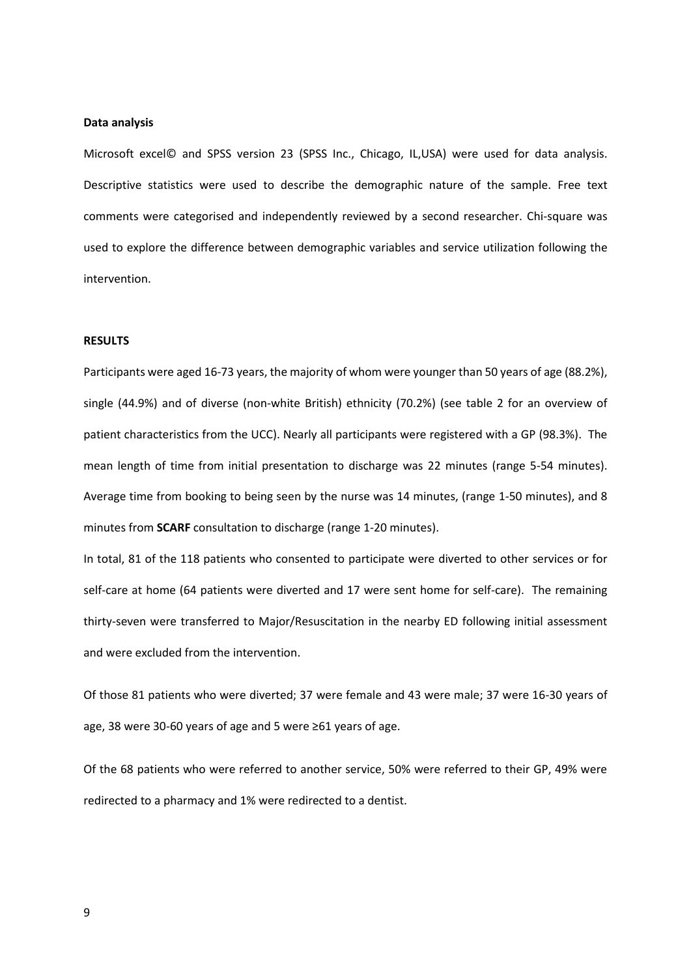#### **Data analysis**

Microsoft excel© and SPSS version 23 (SPSS Inc., Chicago, IL,USA) were used for data analysis. Descriptive statistics were used to describe the demographic nature of the sample. Free text comments were categorised and independently reviewed by a second researcher. Chi-square was used to explore the difference between demographic variables and service utilization following the intervention.

## **RESULTS**

Participants were aged 16-73 years, the majority of whom were younger than 50 years of age (88.2%), single (44.9%) and of diverse (non-white British) ethnicity (70.2%) (see table 2 for an overview of patient characteristics from the UCC). Nearly all participants were registered with a GP (98.3%). The mean length of time from initial presentation to discharge was 22 minutes (range 5-54 minutes). Average time from booking to being seen by the nurse was 14 minutes, (range 1-50 minutes), and 8 minutes from **SCARF** consultation to discharge (range 1-20 minutes).

In total, 81 of the 118 patients who consented to participate were diverted to other services or for self-care at home (64 patients were diverted and 17 were sent home for self-care). The remaining thirty-seven were transferred to Major/Resuscitation in the nearby ED following initial assessment and were excluded from the intervention.

Of those 81 patients who were diverted; 37 were female and 43 were male; 37 were 16-30 years of age, 38 were 30-60 years of age and 5 were ≥61 years of age.

Of the 68 patients who were referred to another service, 50% were referred to their GP, 49% were redirected to a pharmacy and 1% were redirected to a dentist.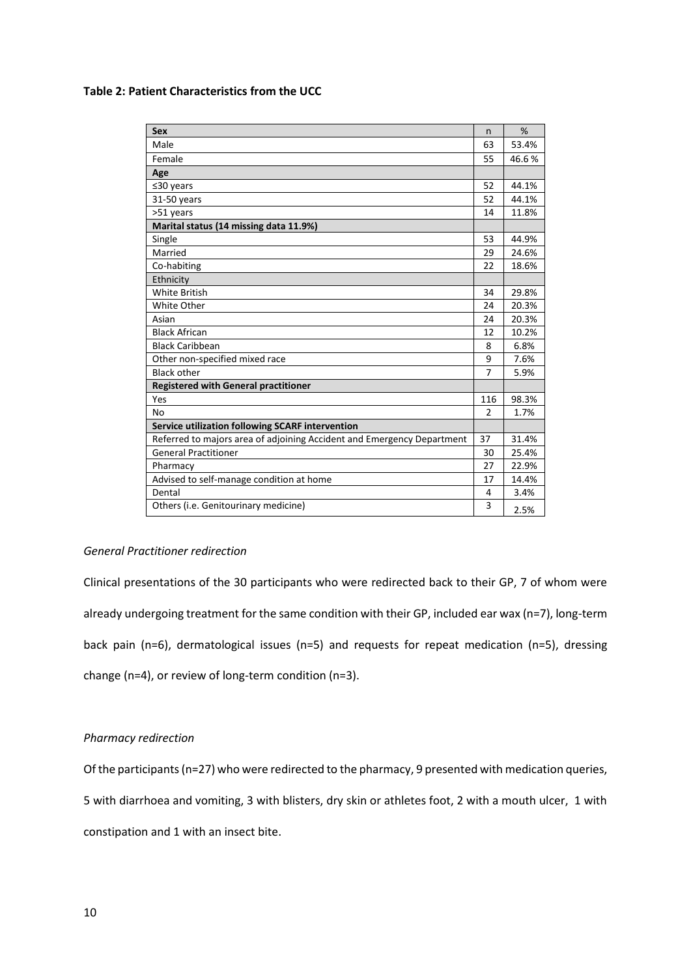# **Table 2: Patient Characteristics from the UCC**

| <b>Sex</b>                                                             | n              | %     |
|------------------------------------------------------------------------|----------------|-------|
| Male                                                                   | 63             | 53.4% |
| Female                                                                 | 55             | 46.6% |
| Age                                                                    |                |       |
| $≤30$ years                                                            | 52             | 44.1% |
| 31-50 years                                                            | 52             | 44.1% |
| >51 years                                                              | 14             | 11.8% |
| Marital status (14 missing data 11.9%)                                 |                |       |
| Single                                                                 | 53             | 44.9% |
| Married                                                                | 29             | 24.6% |
| Co-habiting                                                            | 22             | 18.6% |
| Ethnicity                                                              |                |       |
| <b>White British</b>                                                   | 34             | 29.8% |
| White Other                                                            | 24             | 20.3% |
| Asian                                                                  | 24             | 20.3% |
| <b>Black African</b>                                                   | 12             | 10.2% |
| <b>Black Caribbean</b>                                                 | 8              | 6.8%  |
| Other non-specified mixed race                                         | 9              | 7.6%  |
| <b>Black other</b>                                                     | 7              | 5.9%  |
| <b>Registered with General practitioner</b>                            |                |       |
| Yes                                                                    | 116            | 98.3% |
| <b>No</b>                                                              | $\mathfrak{p}$ | 1.7%  |
| Service utilization following SCARF intervention                       |                |       |
| Referred to majors area of adjoining Accident and Emergency Department | 37             | 31.4% |
| <b>General Practitioner</b>                                            | 30             | 25.4% |
| Pharmacy                                                               | 27             | 22.9% |
| Advised to self-manage condition at home                               | 17             | 14.4% |
| Dental                                                                 | 4              | 3.4%  |
| Others (i.e. Genitourinary medicine)                                   | 3              | 2.5%  |

# *General Practitioner redirection*

Clinical presentations of the 30 participants who were redirected back to their GP, 7 of whom were already undergoing treatment for the same condition with their GP, included ear wax (n=7), long-term back pain (n=6), dermatological issues (n=5) and requests for repeat medication (n=5), dressing change (n=4), or review of long-term condition (n=3).

# *Pharmacy redirection*

Of the participants (n=27) who were redirected to the pharmacy, 9 presented with medication queries, 5 with diarrhoea and vomiting, 3 with blisters, dry skin or athletes foot, 2 with a mouth ulcer, 1 with constipation and 1 with an insect bite.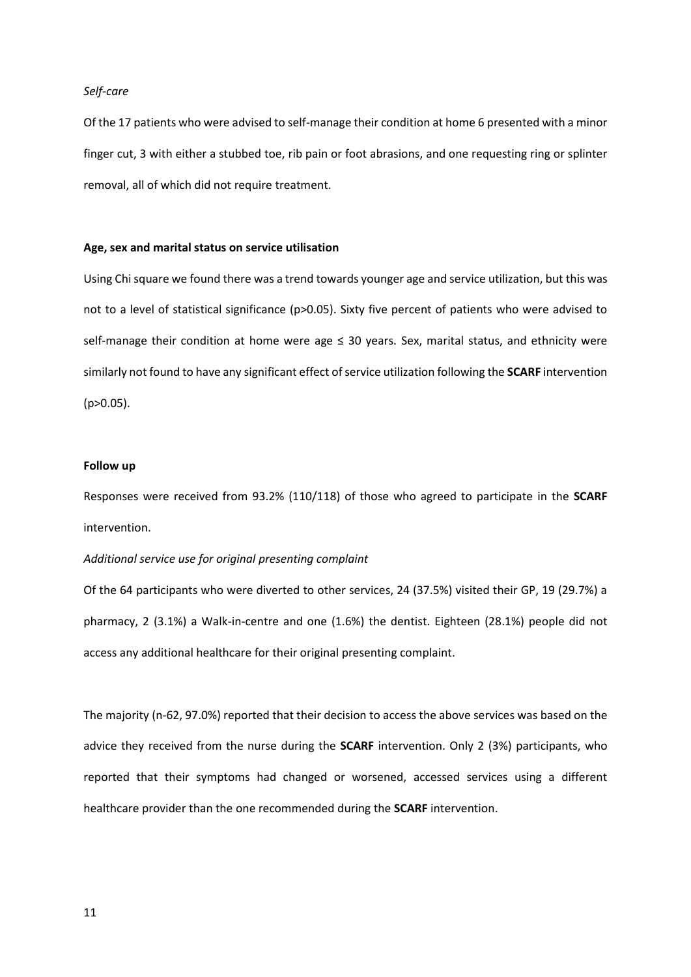## *Self-care*

Of the 17 patients who were advised to self-manage their condition at home 6 presented with a minor finger cut, 3 with either a stubbed toe, rib pain or foot abrasions, and one requesting ring or splinter removal, all of which did not require treatment.

# **Age, sex and marital status on service utilisation**

Using Chi square we found there was a trend towards younger age and service utilization, but this was not to a level of statistical significance (p>0.05). Sixty five percent of patients who were advised to self-manage their condition at home were age  $\leq$  30 years. Sex, marital status, and ethnicity were similarly not found to have any significant effect of service utilization following the **SCARF** intervention  $(p>0.05)$ .

## **Follow up**

Responses were received from 93.2% (110/118) of those who agreed to participate in the **SCARF** intervention.

## *Additional service use for original presenting complaint*

Of the 64 participants who were diverted to other services, 24 (37.5%) visited their GP, 19 (29.7%) a pharmacy, 2 (3.1%) a Walk-in-centre and one (1.6%) the dentist. Eighteen (28.1%) people did not access any additional healthcare for their original presenting complaint.

The majority (n-62, 97.0%) reported that their decision to access the above services was based on the advice they received from the nurse during the **SCARF** intervention. Only 2 (3%) participants, who reported that their symptoms had changed or worsened, accessed services using a different healthcare provider than the one recommended during the **SCARF** intervention.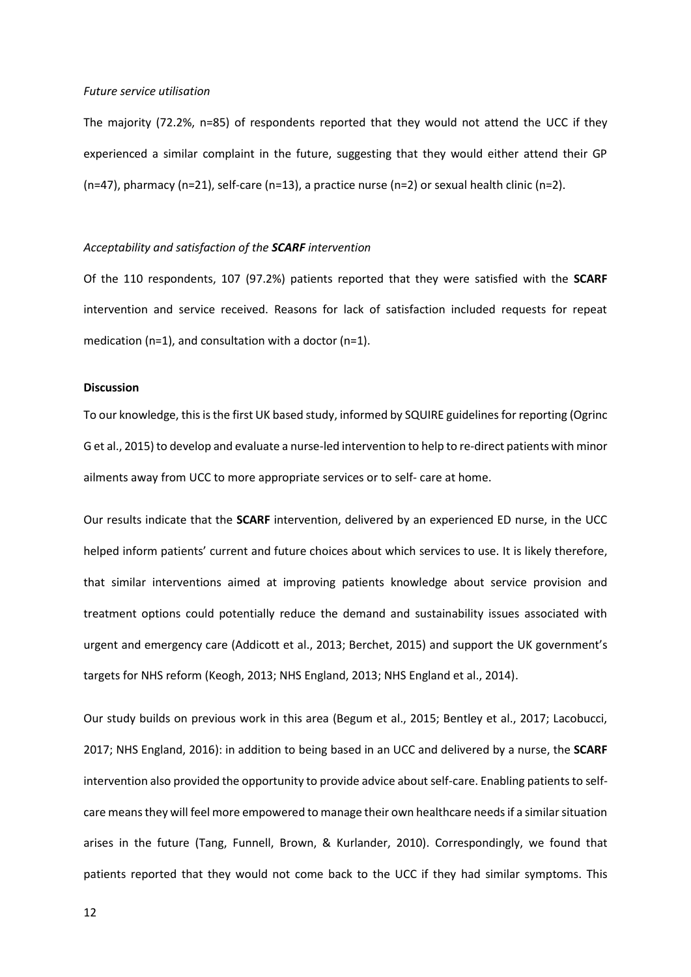#### *Future service utilisation*

The majority (72.2%, n=85) of respondents reported that they would not attend the UCC if they experienced a similar complaint in the future, suggesting that they would either attend their GP  $(n=47)$ , pharmacy  $(n=21)$ , self-care  $(n=13)$ , a practice nurse  $(n=2)$  or sexual health clinic  $(n=2)$ .

## *Acceptability and satisfaction of the SCARF intervention*

Of the 110 respondents, 107 (97.2%) patients reported that they were satisfied with the **SCARF** intervention and service received. Reasons for lack of satisfaction included requests for repeat medication (n=1), and consultation with a doctor (n=1).

#### **Discussion**

To our knowledge, this is the first UK based study, informed by SQUIRE guidelines for reporting (Ogrinc G et al., 2015) to develop and evaluate a nurse-led intervention to help to re-direct patients with minor ailments away from UCC to more appropriate services or to self- care at home.

Our results indicate that the **SCARF** intervention, delivered by an experienced ED nurse, in the UCC helped inform patients' current and future choices about which services to use. It is likely therefore, that similar interventions aimed at improving patients knowledge about service provision and treatment options could potentially reduce the demand and sustainability issues associated with urgent and emergency care (Addicott et al., 2013; Berchet, 2015) and support the UK government's targets for NHS reform (Keogh, 2013; NHS England, 2013; NHS England et al., 2014).

Our study builds on previous work in this area (Begum et al., 2015; Bentley et al., 2017; Lacobucci, 2017; NHS England, 2016): in addition to being based in an UCC and delivered by a nurse, the **SCARF** intervention also provided the opportunity to provide advice about self-care. Enabling patients to selfcare means they will feel more empowered to manage their own healthcare needs if a similar situation arises in the future (Tang, Funnell, Brown, & Kurlander, 2010). Correspondingly, we found that patients reported that they would not come back to the UCC if they had similar symptoms. This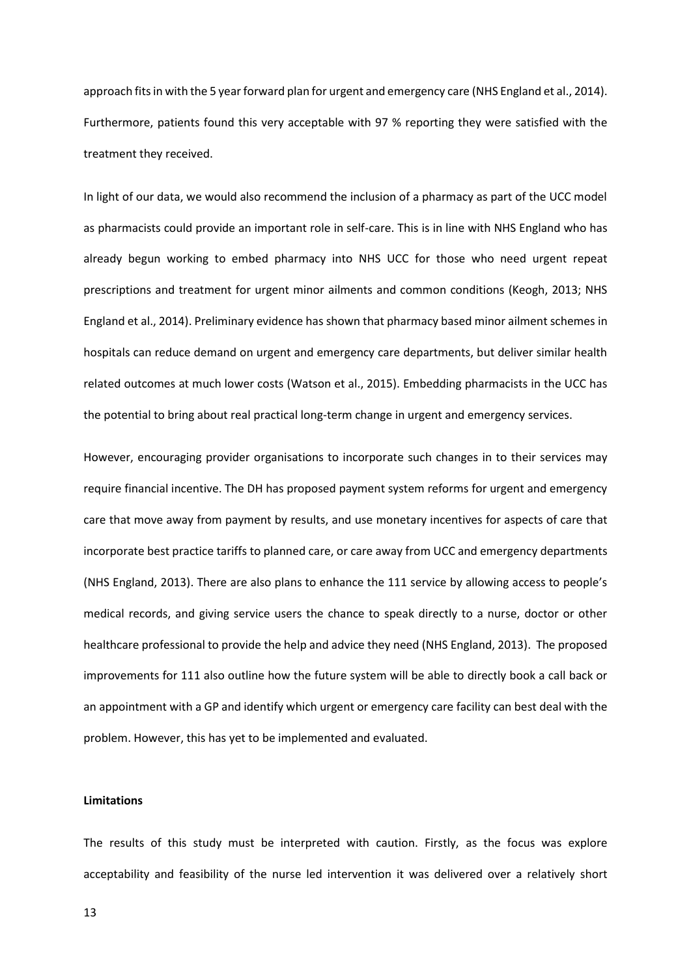approach fits in with the 5 year forward plan for urgent and emergency care (NHS England et al., 2014). Furthermore, patients found this very acceptable with 97 % reporting they were satisfied with the treatment they received.

In light of our data, we would also recommend the inclusion of a pharmacy as part of the UCC model as pharmacists could provide an important role in self-care. This is in line with NHS England who has already begun working to embed pharmacy into NHS UCC for those who need urgent repeat prescriptions and treatment for urgent minor ailments and common conditions (Keogh, 2013; NHS England et al., 2014). Preliminary evidence has shown that pharmacy based minor ailment schemes in hospitals can reduce demand on urgent and emergency care departments, but deliver similar health related outcomes at much lower costs (Watson et al., 2015). Embedding pharmacists in the UCC has the potential to bring about real practical long-term change in urgent and emergency services.

However, encouraging provider organisations to incorporate such changes in to their services may require financial incentive. The DH has proposed payment system reforms for urgent and emergency care that move away from payment by results, and use monetary incentives for aspects of care that incorporate best practice tariffs to planned care, or care away from UCC and emergency departments (NHS England, 2013). There are also plans to enhance the 111 service by allowing access to people's medical records, and giving service users the chance to speak directly to a nurse, doctor or other healthcare professional to provide the help and advice they need (NHS England, 2013). The proposed improvements for 111 also outline how the future system will be able to directly book a call back or an appointment with a GP and identify which urgent or emergency care facility can best deal with the problem. However, this has yet to be implemented and evaluated.

## **Limitations**

The results of this study must be interpreted with caution. Firstly, as the focus was explore acceptability and feasibility of the nurse led intervention it was delivered over a relatively short

13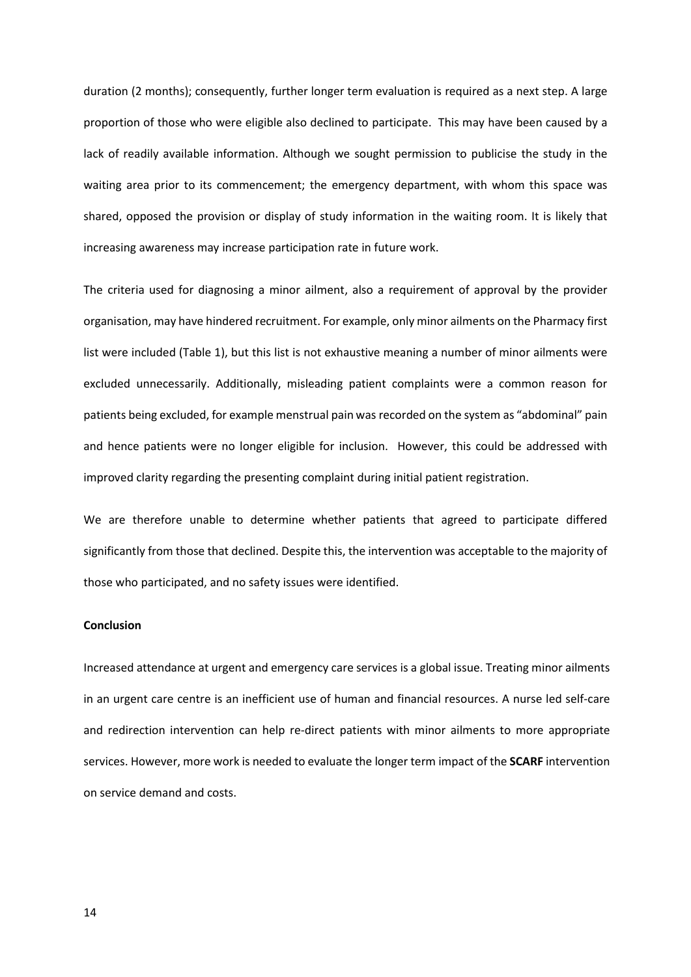duration (2 months); consequently, further longer term evaluation is required as a next step. A large proportion of those who were eligible also declined to participate. This may have been caused by a lack of readily available information. Although we sought permission to publicise the study in the waiting area prior to its commencement; the emergency department, with whom this space was shared, opposed the provision or display of study information in the waiting room. It is likely that increasing awareness may increase participation rate in future work.

The criteria used for diagnosing a minor ailment, also a requirement of approval by the provider organisation, may have hindered recruitment. For example, only minor ailments on the Pharmacy first list were included (Table 1), but this list is not exhaustive meaning a number of minor ailments were excluded unnecessarily. Additionally, misleading patient complaints were a common reason for patients being excluded, for example menstrual pain was recorded on the system as "abdominal" pain and hence patients were no longer eligible for inclusion. However, this could be addressed with improved clarity regarding the presenting complaint during initial patient registration.

We are therefore unable to determine whether patients that agreed to participate differed significantly from those that declined. Despite this, the intervention was acceptable to the majority of those who participated, and no safety issues were identified.

#### **Conclusion**

Increased attendance at urgent and emergency care services is a global issue. Treating minor ailments in an urgent care centre is an inefficient use of human and financial resources. A nurse led self-care and redirection intervention can help re-direct patients with minor ailments to more appropriate services. However, more work is needed to evaluate the longer term impact of the **SCARF** intervention on service demand and costs.

14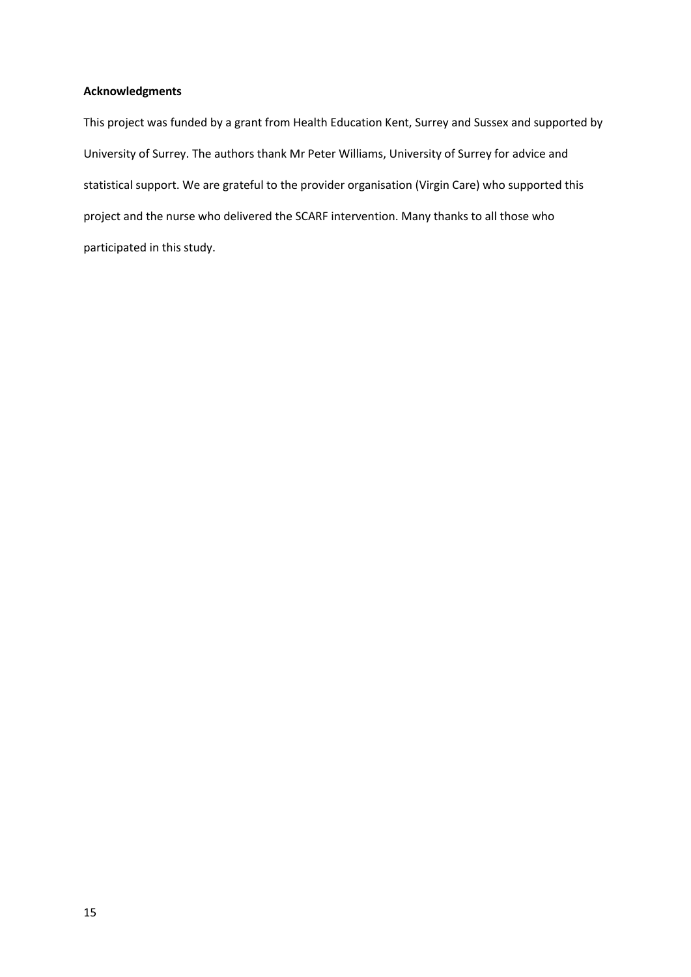# **Acknowledgments**

This project was funded by a grant from Health Education Kent, Surrey and Sussex and supported by University of Surrey. The authors thank Mr Peter Williams, University of Surrey for advice and statistical support. We are grateful to the provider organisation (Virgin Care) who supported this project and the nurse who delivered the SCARF intervention. Many thanks to all those who participated in this study.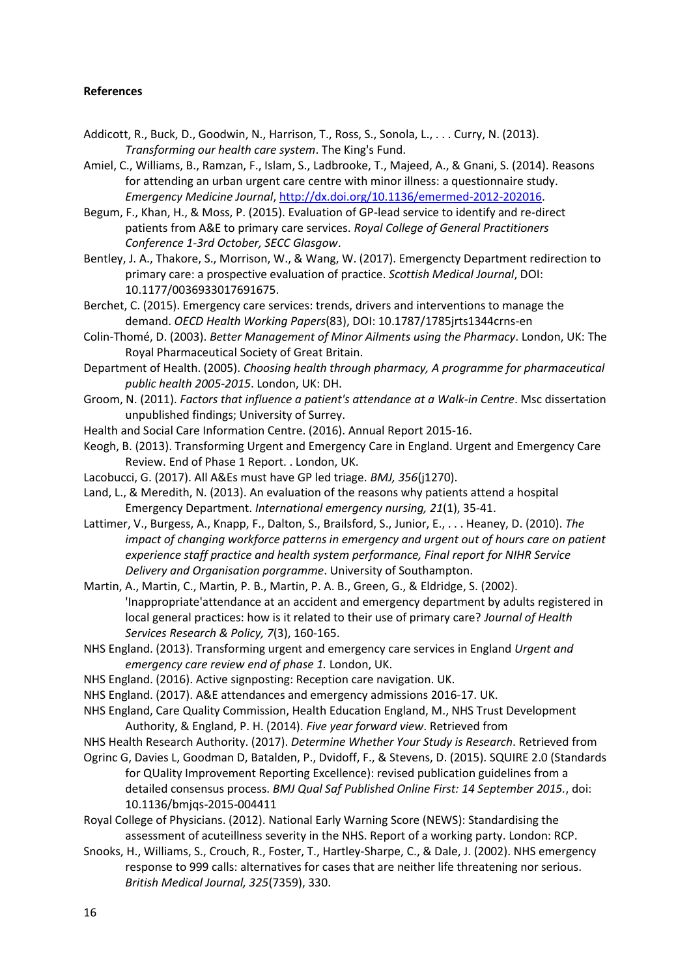# **References**

- Addicott, R., Buck, D., Goodwin, N., Harrison, T., Ross, S., Sonola, L., . . . Curry, N. (2013). *Transforming our health care system*. The King's Fund.
- Amiel, C., Williams, B., Ramzan, F., Islam, S., Ladbrooke, T., Majeed, A., & Gnani, S. (2014). Reasons for attending an urban urgent care centre with minor illness: a questionnaire study. *Emergency Medicine Journal*[, http://dx.doi.org/10.1136/emermed-2012-202016.](http://dx.doi.org/10.1136/emermed-2012-202016)
- Begum, F., Khan, H., & Moss, P. (2015). Evaluation of GP-lead service to identify and re-direct patients from A&E to primary care services. *Royal College of General Practitioners Conference 1-3rd October, SECC Glasgow*.
- Bentley, J. A., Thakore, S., Morrison, W., & Wang, W. (2017). Emergencty Department redirection to primary care: a prospective evaluation of practice. *Scottish Medical Journal*, DOI: 10.1177/0036933017691675.
- Berchet, C. (2015). Emergency care services: trends, drivers and interventions to manage the demand. *OECD Health Working Papers*(83), DOI: 10.1787/1785jrts1344crns-en
- Colin-Thomé, D. (2003). *Better Management of Minor Ailments using the Pharmacy*. London, UK: The Royal Pharmaceutical Society of Great Britain.
- Department of Health. (2005). *Choosing health through pharmacy, A programme for pharmaceutical public health 2005-2015*. London, UK: DH.
- Groom, N. (2011). *Factors that influence a patient's attendance at a Walk-in Centre*. Msc dissertation unpublished findings; University of Surrey.
- Health and Social Care Information Centre. (2016). Annual Report 2015-16.
- Keogh, B. (2013). Transforming Urgent and Emergency Care in England. Urgent and Emergency Care Review. End of Phase 1 Report. . London, UK.
- Lacobucci, G. (2017). All A&Es must have GP led triage. *BMJ, 356*(j1270).
- Land, L., & Meredith, N. (2013). An evaluation of the reasons why patients attend a hospital Emergency Department. *International emergency nursing, 21*(1), 35-41.
- Lattimer, V., Burgess, A., Knapp, F., Dalton, S., Brailsford, S., Junior, E., . . . Heaney, D. (2010). *The impact of changing workforce patterns in emergency and urgent out of hours care on patient experience staff practice and health system performance, Final report for NIHR Service Delivery and Organisation porgramme*. University of Southampton.

Martin, A., Martin, C., Martin, P. B., Martin, P. A. B., Green, G., & Eldridge, S. (2002). 'Inappropriate'attendance at an accident and emergency department by adults registered in local general practices: how is it related to their use of primary care? *Journal of Health Services Research & Policy, 7*(3), 160-165.

- NHS England. (2013). Transforming urgent and emergency care services in England *Urgent and emergency care review end of phase 1.* London, UK.
- NHS England. (2016). Active signposting: Reception care navigation. UK.
- NHS England. (2017). A&E attendances and emergency admissions 2016-17. UK.
- NHS England, Care Quality Commission, Health Education England, M., NHS Trust Development Authority, & England, P. H. (2014). *Five year forward view*. Retrieved from
- NHS Health Research Authority. (2017). *Determine Whether Your Study is Research*. Retrieved from
- Ogrinc G, Davies L, Goodman D, Batalden, P., Dvidoff, F., & Stevens, D. (2015). SQUIRE 2.0 (Standards for QUality Improvement Reporting Excellence): revised publication guidelines from a detailed consensus process. *BMJ Qual Saf Published Online First: 14 September 2015.*, doi: 10.1136/bmjqs-2015-004411
- Royal College of Physicians. (2012). National Early Warning Score (NEWS): Standardising the assessment of acuteillness severity in the NHS. Report of a working party. London: RCP.
- Snooks, H., Williams, S., Crouch, R., Foster, T., Hartley-Sharpe, C., & Dale, J. (2002). NHS emergency response to 999 calls: alternatives for cases that are neither life threatening nor serious. *British Medical Journal, 325*(7359), 330.